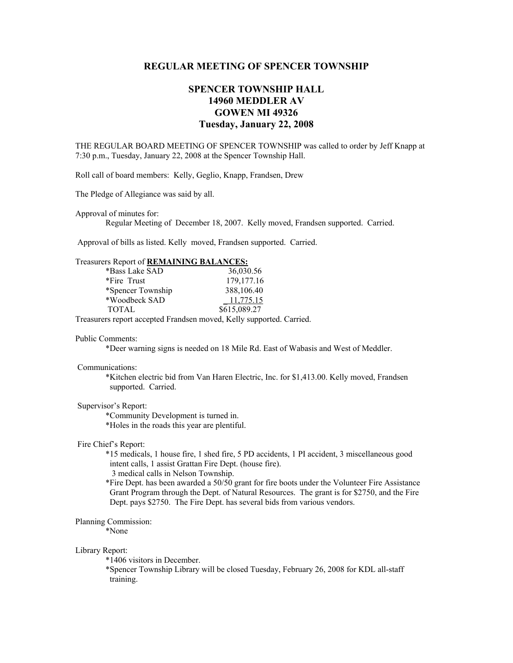# **REGULAR MEETING OF SPENCER TOWNSHIP**

# **SPENCER TOWNSHIP HALL 14960 MEDDLER AV GOWEN MI 49326 Tuesday, January 22, 2008**

THE REGULAR BOARD MEETING OF SPENCER TOWNSHIP was called to order by Jeff Knapp at 7:30 p.m., Tuesday, January 22, 2008 at the Spencer Township Hall.

Roll call of board members: Kelly, Geglio, Knapp, Frandsen, Drew

The Pledge of Allegiance was said by all.

Approval of minutes for:

Regular Meeting of December 18, 2007. Kelly moved, Frandsen supported. Carried.

Approval of bills as listed. Kelly moved, Frandsen supported. Carried.

### Treasurers Report of **REMAINING BALANCES:**

| *Bass Lake SAD    | 36,030.56    |
|-------------------|--------------|
| *Fire Trust       | 179, 177. 16 |
| *Spencer Township | 388,106.40   |
| *Woodbeck SAD     | $-11,775.15$ |
| <b>TOTAL</b>      | \$615,089.27 |

Treasurers report accepted Frandsen moved, Kelly supported. Carried.

#### Public Comments:

\*Deer warning signs is needed on 18 Mile Rd. East of Wabasis and West of Meddler.

### Communications:

 \*Kitchen electric bid from Van Haren Electric, Inc. for \$1,413.00. Kelly moved, Frandsen supported. Carried.

#### Supervisor's Report:

\*Community Development is turned in.

\*Holes in the roads this year are plentiful.

#### Fire Chief's Report:

 \*15 medicals, 1 house fire, 1 shed fire, 5 PD accidents, 1 PI accident, 3 miscellaneous good intent calls, 1 assist Grattan Fire Dept. (house fire).

3 medical calls in Nelson Township.

 \*Fire Dept. has been awarded a 50/50 grant for fire boots under the Volunteer Fire Assistance Grant Program through the Dept. of Natural Resources. The grant is for \$2750, and the Fire Dept. pays \$2750. The Fire Dept. has several bids from various vendors.

#### Planning Commission:

\*None

#### Library Report:

\*1406 visitors in December.

 \*Spencer Township Library will be closed Tuesday, February 26, 2008 for KDL all-staff training.